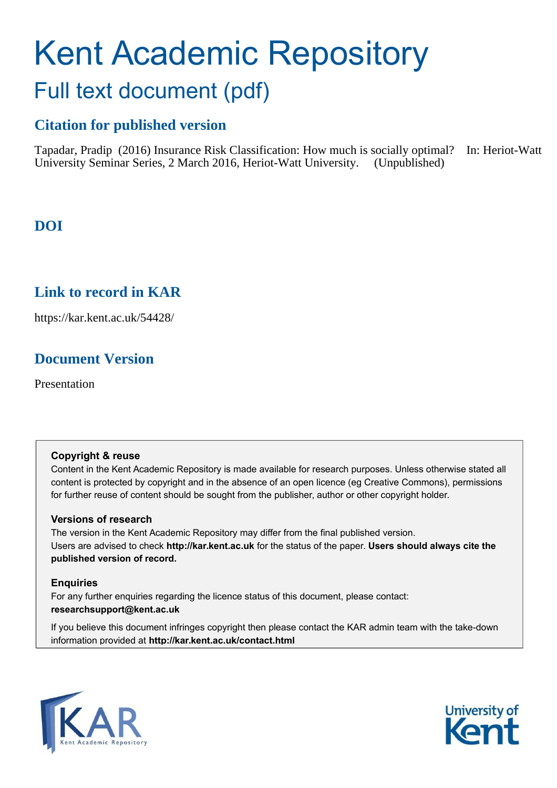# <span id="page-0-0"></span>Kent Academic Repository Full text document (pdf)

# **Citation for published version**

Tapadar, Pradip (2016) Insurance Risk Classification: How much is socially optimal? In: Heriot-Watt University Seminar Series, 2 March 2016, Heriot-Watt University. (Unpublished)

# **DOI**

# **Link to record in KAR**

https://kar.kent.ac.uk/54428/

# **Document Version**

Presentation

# **Copyright & reuse**

Content in the Kent Academic Repository is made available for research purposes. Unless otherwise stated all content is protected by copyright and in the absence of an open licence (eg Creative Commons), permissions for further reuse of content should be sought from the publisher, author or other copyright holder.

# **Versions of research**

The version in the Kent Academic Repository may differ from the final published version. Users are advised to check **http://kar.kent.ac.uk** for the status of the paper. **Users should always cite the published version of record.**

# **Enquiries**

For any further enquiries regarding the licence status of this document, please contact: **researchsupport@kent.ac.uk**

If you believe this document infringes copyright then please contact the KAR admin team with the take-down information provided at **http://kar.kent.ac.uk/contact.html**



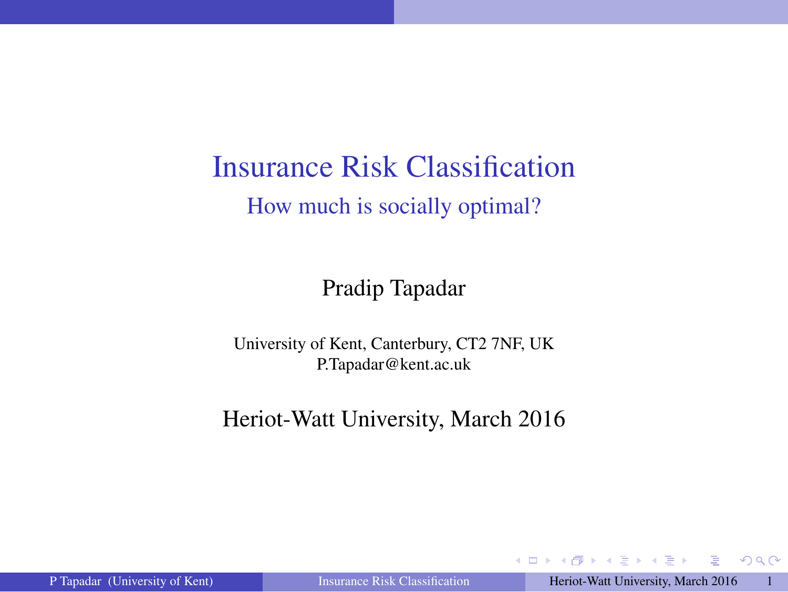<span id="page-1-0"></span>Insurance Risk Classification How much is socially optimal?

Pradip Tapadar

University of Kent, Canterbury, CT2 7NF, UK P.Tapadar@kent.ac.uk

Heriot-Watt University, March 2016

 $QQ$ 

イロト イ押 トイヨ トイヨ トー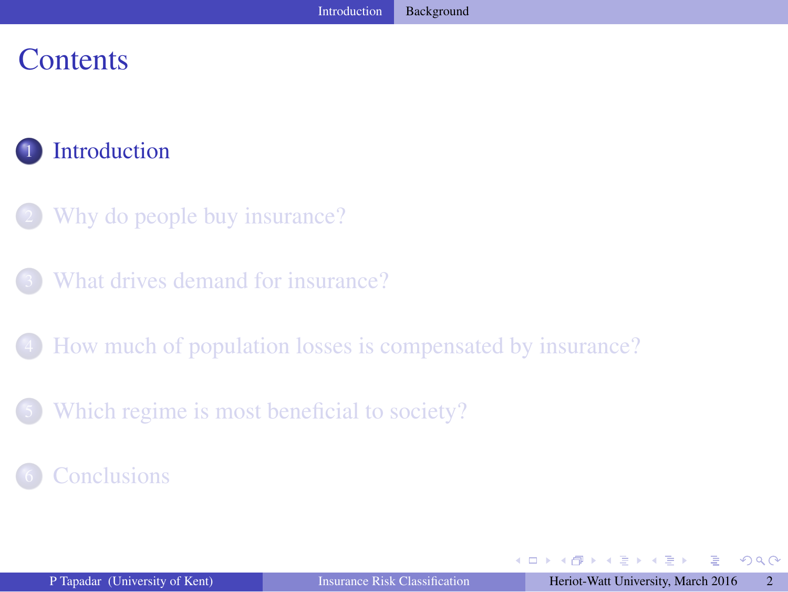# <span id="page-2-0"></span>**Contents**

# **[Introduction](#page-1-0)**

- [Why do people buy insurance?](#page-5-0)
- [What drives demand for insurance?](#page-11-0)
- 4 [How much of population losses is compensated by insurance?](#page-17-0)
- [Which regime is most beneficial to society?](#page-26-0)

#### **[Conclusions](#page-28-0)**

 $\Omega$ 

 $\mathbb{R}^d \times \mathbb{R}^d \times \mathbb{R}^d \times \mathbb{R}^d \times \mathbb{R}^d$ 

4. 0. 3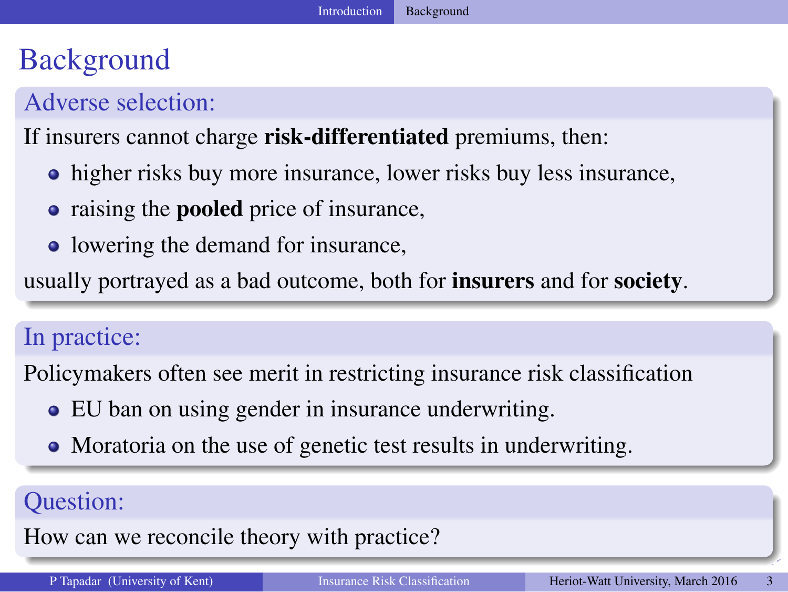# <span id="page-3-0"></span>**Background**

## Adverse selection:

If insurers cannot charge risk-differentiated premiums, then:

- higher risks buy more insurance, lower risks buy less insurance,
- raising the **pooled** price of insurance,
- lowering the demand for insurance,

usually portrayed as a bad outcome, both for insurers and for society.

# In practice:

Policymakers often see merit in restricting insurance risk classification

- EU ban on using gender in insurance underwriting.
- Moratoria on the use of genetic test results in underwriting.

# Question:

How can we reconcile theory with practice?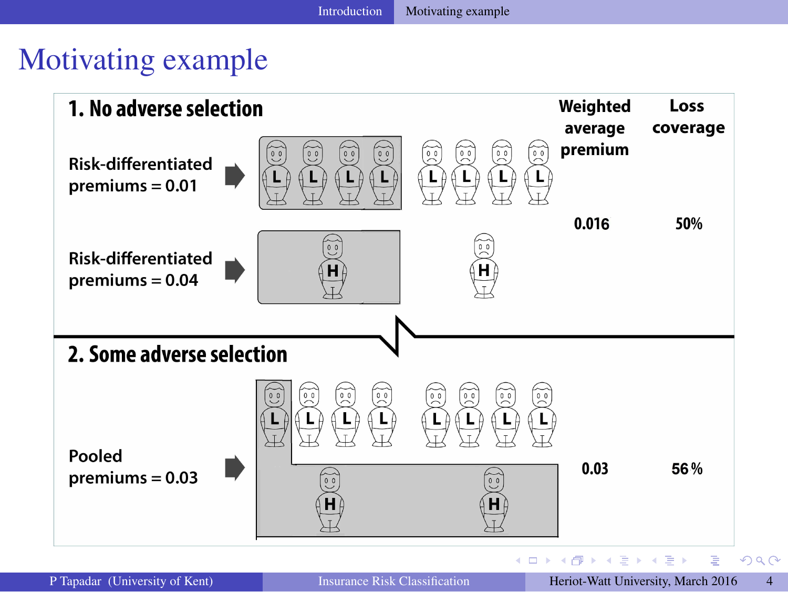# <span id="page-4-0"></span>Motivating example

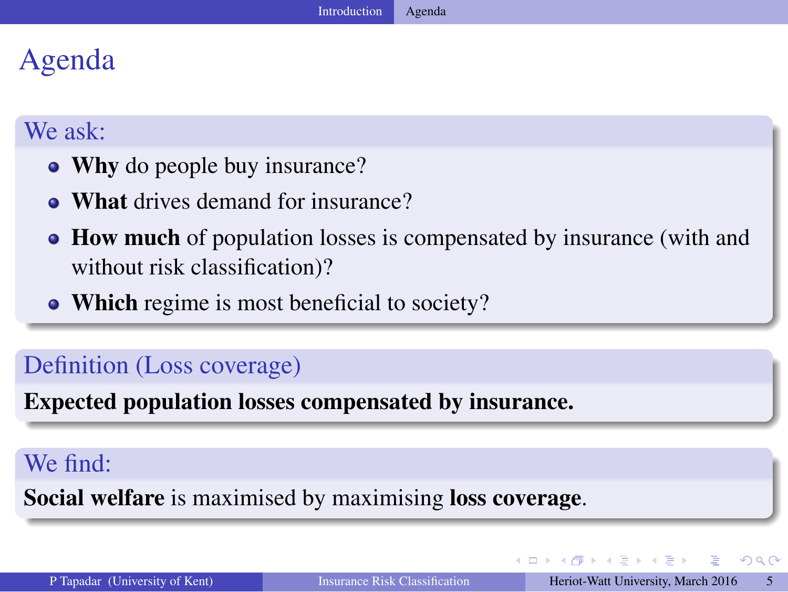# <span id="page-5-0"></span>Agenda

## We ask:

- Why do people buy insurance?
- What drives demand for insurance?
- How much of population losses is compensated by insurance (with and without risk classification)?
- Which regime is most beneficial to society?

# Definition (Loss coverage)

Expected population losses compensated by insurance.

#### We find:

Social welfare is maximised by maximising loss coverage.

 $\Omega$ 

→ 何 ▶ → ヨ ▶ → ヨ ▶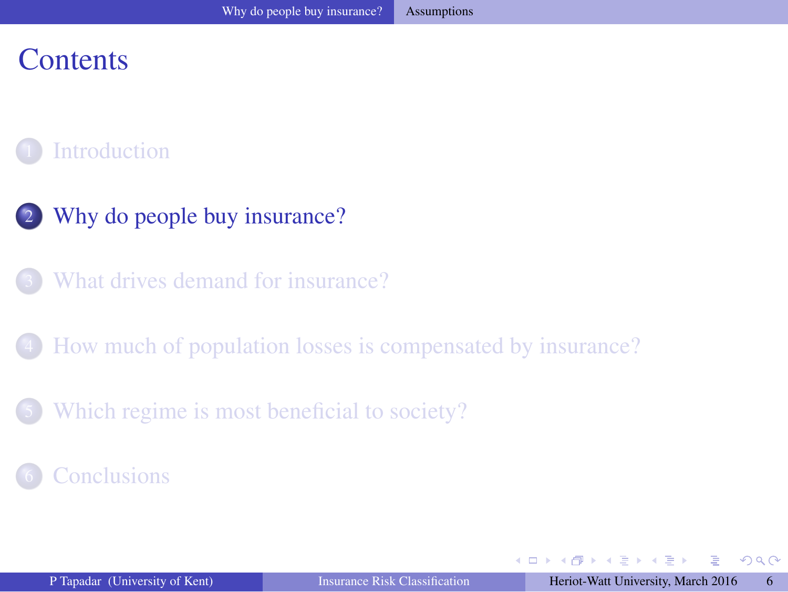# <span id="page-6-0"></span>**Contents**



- 2 [Why do people buy insurance?](#page-5-0)
	- [What drives demand for insurance?](#page-11-0)
- 4 [How much of population losses is compensated by insurance?](#page-17-0)
- [Which regime is most beneficial to society?](#page-26-0)

#### **[Conclusions](#page-28-0)**

 $\Omega$ 

**ADA 4 B A 4 B A** 

4 0 8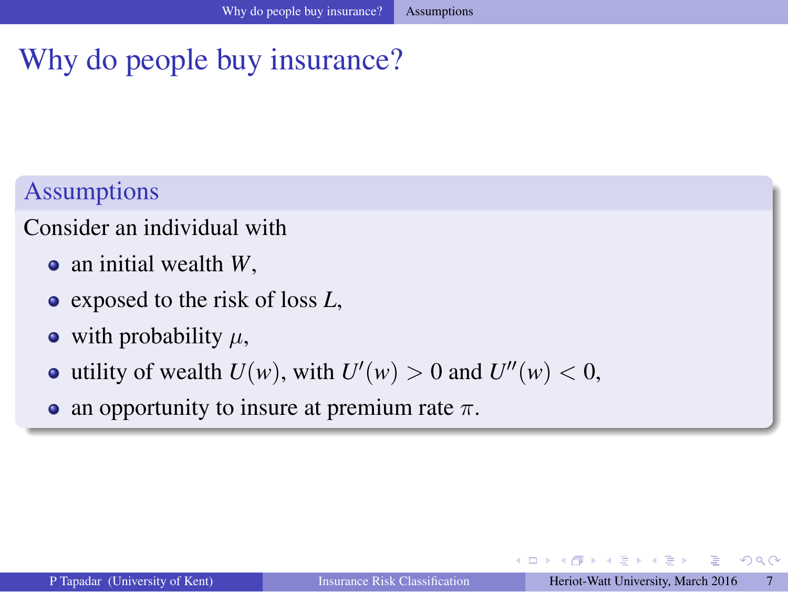# <span id="page-7-0"></span>Why do people buy insurance?

# Assumptions

#### Consider an individual with

- an initial wealth *W*,
- exposed to the risk of loss *L*,
- with probability  $\mu$ ,
- utility of wealth  $U(w)$ , with  $U'(w) > 0$  and  $U''(w) < 0$ ,
- an opportunity to insure at premium rate  $\pi$ .

 $\Omega$ 

 $\lambda$  =  $\lambda$ 

4 D F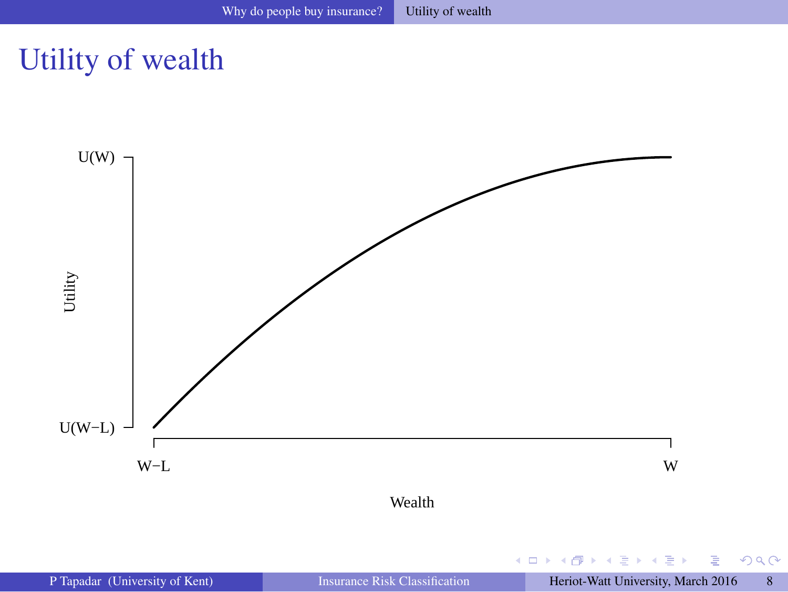# <span id="page-8-0"></span>Utility of wealth



 $299$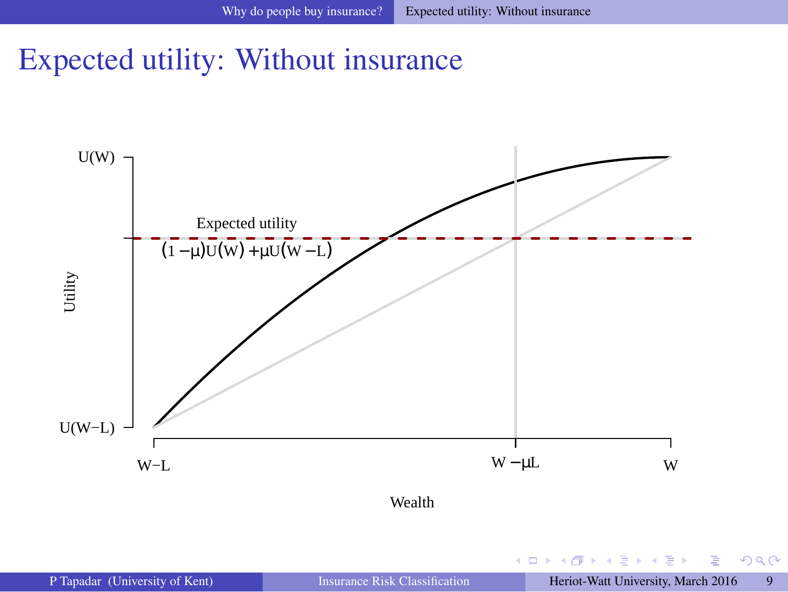# <span id="page-9-0"></span>Expected utility: Without insurance



押 トスミ トスミン

4 0 8  $\mathcal{A}$   $299$ 

∍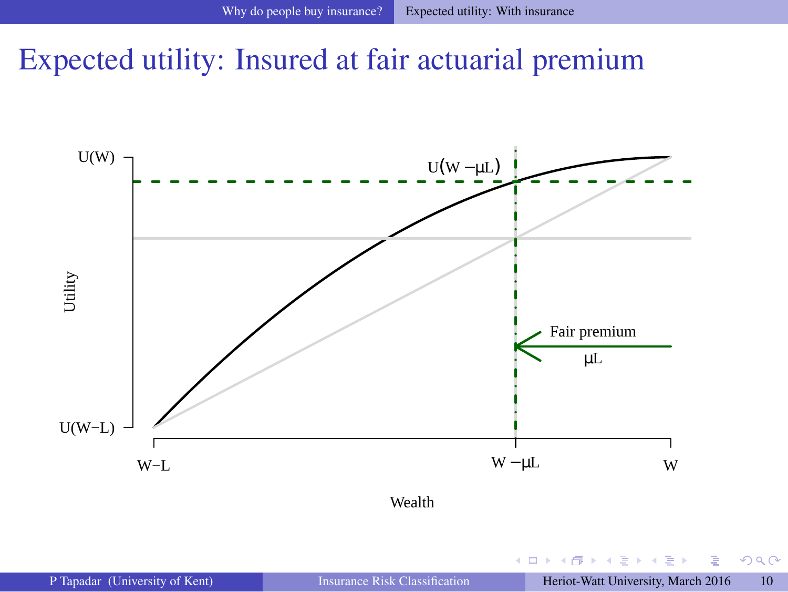# <span id="page-10-0"></span>Expected utility: Insured at fair actuarial premium



4. 0. 3

A

 $299$ 

∍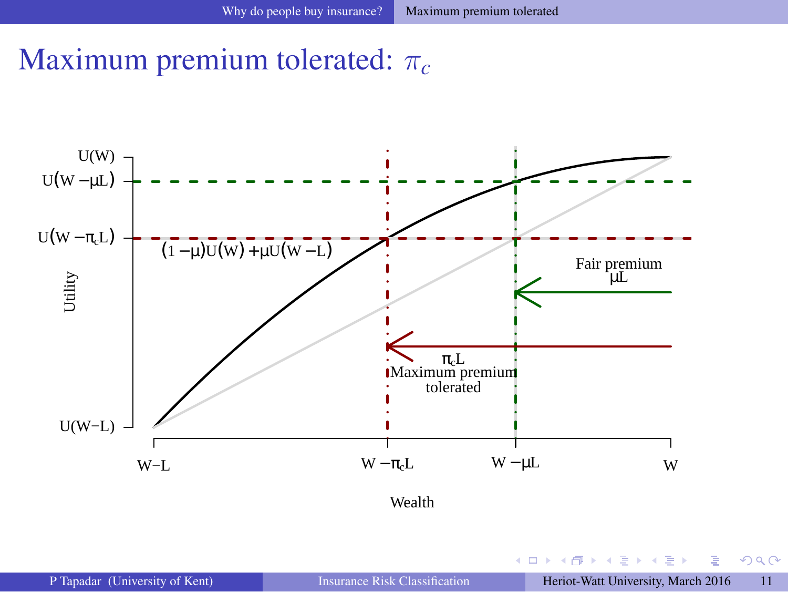# <span id="page-11-0"></span>Maximum premium tolerated: π*<sup>c</sup>*



Wealth

 $299$ 

∍

 $\left\{ \begin{array}{ccc} 1 & 0 & 0 \\ 0 & 1 & 0 \end{array} \right.$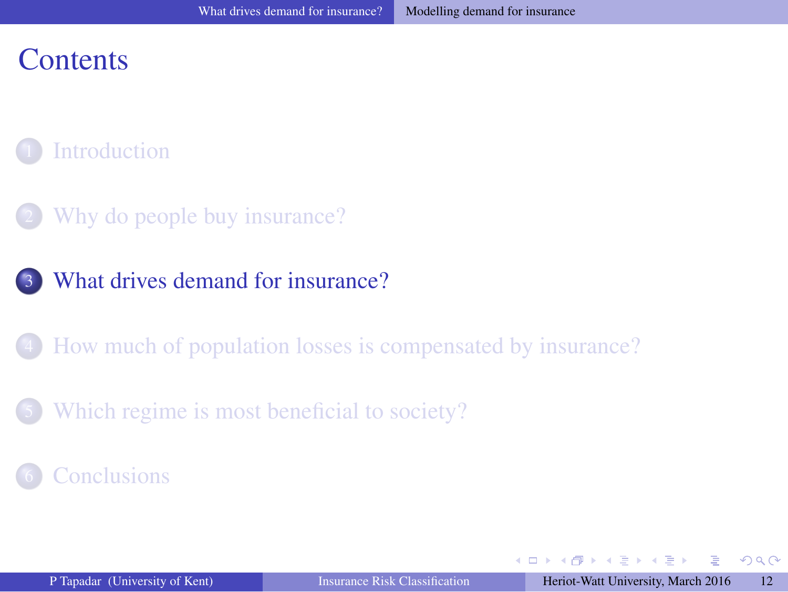# <span id="page-12-0"></span>**Contents**

# **[Introduction](#page-1-0)**

- [Why do people buy insurance?](#page-5-0)
- 3 [What drives demand for insurance?](#page-11-0)
- 4 [How much of population losses is compensated by insurance?](#page-17-0)
- [Which regime is most beneficial to society?](#page-26-0)

#### **[Conclusions](#page-28-0)**

 $\Omega$ 

 $A \cap \overline{B} \rightarrow A \Rightarrow A \Rightarrow A \Rightarrow B$ 

4 0 8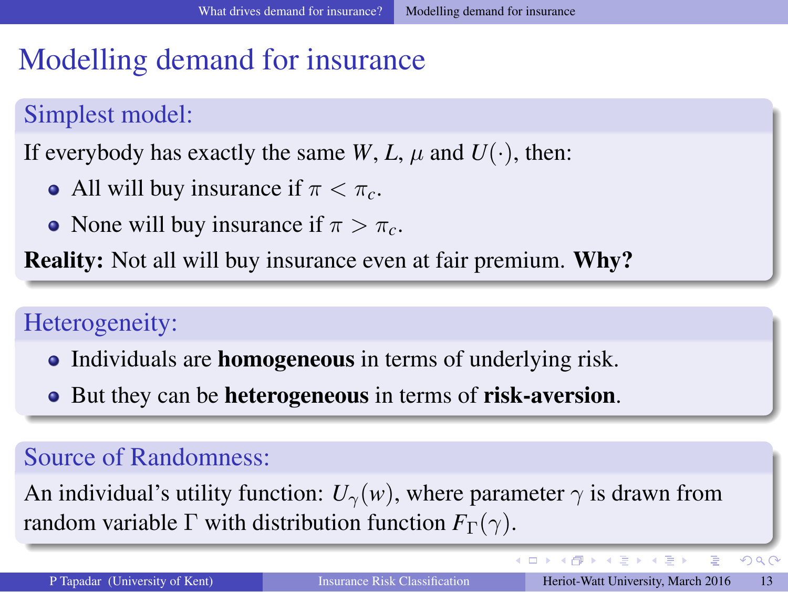# <span id="page-13-0"></span>Modelling demand for insurance

# Simplest model:

If everybody has exactly the same *W*, *L*,  $\mu$  and  $U(\cdot)$ , then:

- All will buy insurance if  $\pi < \pi_c$ .
- None will buy insurance if  $\pi > \pi_c$ .

Reality: Not all will buy insurance even at fair premium. Why?

# Heterogeneity:

- Individuals are **homogeneous** in terms of underlying risk.
- But they can be **heterogeneous** in terms of **risk-aversion**.

# Source of Randomness:

An individual's utility function:  $U_{\gamma}(w)$ , where parameter  $\gamma$  is drawn from random variable  $\Gamma$  with distribution function  $F_{\Gamma}(\gamma)$ .

 $QQ$ 

 $(1)$   $(1)$   $(1)$   $(1)$   $(1)$   $(1)$   $(1)$   $(1)$   $(1)$   $(1)$   $(1)$   $(1)$   $(1)$   $(1)$   $(1)$   $(1)$   $(1)$   $(1)$   $(1)$   $(1)$   $(1)$   $(1)$   $(1)$   $(1)$   $(1)$   $(1)$   $(1)$   $(1)$   $(1)$   $(1)$   $(1)$   $(1)$   $(1)$   $(1)$   $(1)$   $(1)$   $(1)$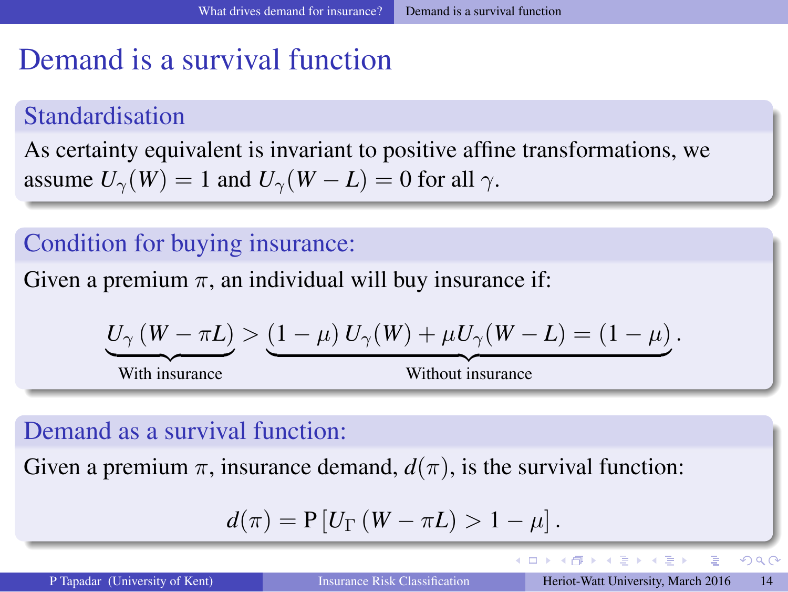# <span id="page-14-0"></span>Demand is a survival function

#### Standardisation

As certainty equivalent is invariant to positive affine transformations, we assume  $U_\gamma(W) = 1$  and  $U_\gamma(W - L) = 0$  for all  $\gamma$ .

#### Condition for buying insurance:

Given a premium  $\pi$ , an individual will buy insurance if:

$$
\underbrace{U_{\gamma}(W-\pi L)}_{\text{With insurance}} > \underbrace{(1-\mu) U_{\gamma}(W) + \mu U_{\gamma}(W-L)}_{\text{Without insurance}} = (1-\mu).
$$

#### Demand as a survival function:

Given a premium  $\pi$ , insurance demand,  $d(\pi)$ , is the survival function:

$$
d(\pi) = P[U_{\Gamma}(W - \pi L) > 1 - \mu].
$$

 $QQ$ 

∍

イロト イタト イモト イモト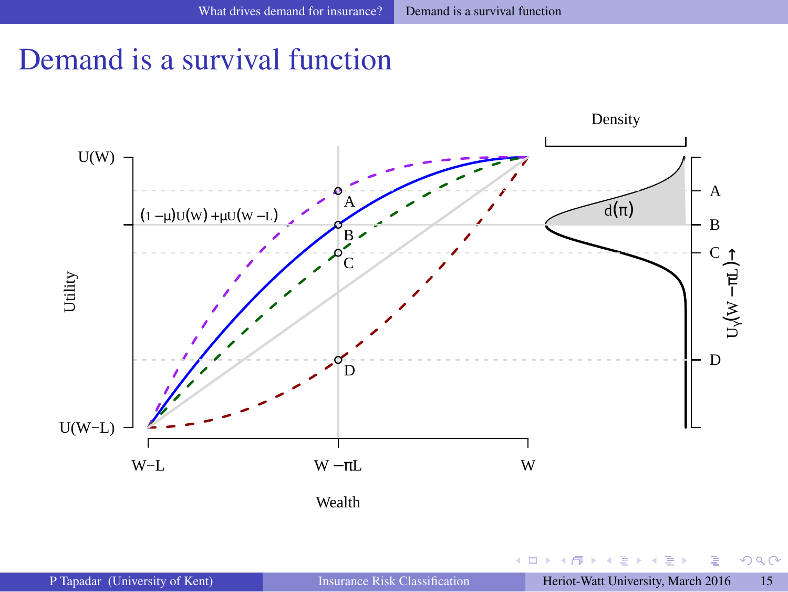# <span id="page-15-0"></span>Demand is a survival function



٠.

4. 0. 3

 $299$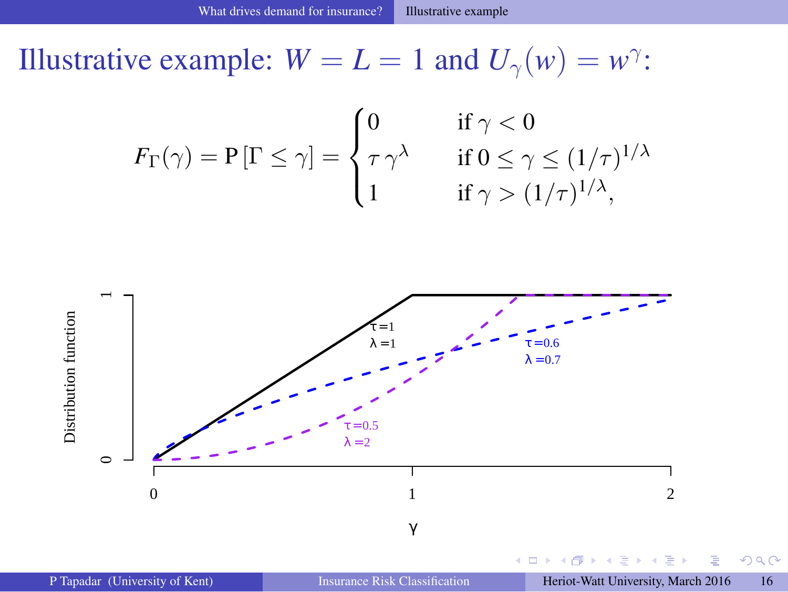<span id="page-16-0"></span>Illustrative example:  $W = L = 1$  and  $U_{\gamma}(w) = w^{\gamma}$ :

$$
F_{\Gamma}(\gamma) = \mathbf{P}[\Gamma \le \gamma] = \begin{cases} 0 & \text{if } \gamma < 0 \\ \tau \gamma^{\lambda} & \text{if } 0 \le \gamma \le (1/\tau)^{1/\lambda} \\ 1 & \text{if } \gamma > (1/\tau)^{1/\lambda}, \end{cases}
$$



P Tapadar (University of Kent) **[Insurance Risk Classification](#page-0-0)** Heriot-Watt University, March 2016 16

 $299$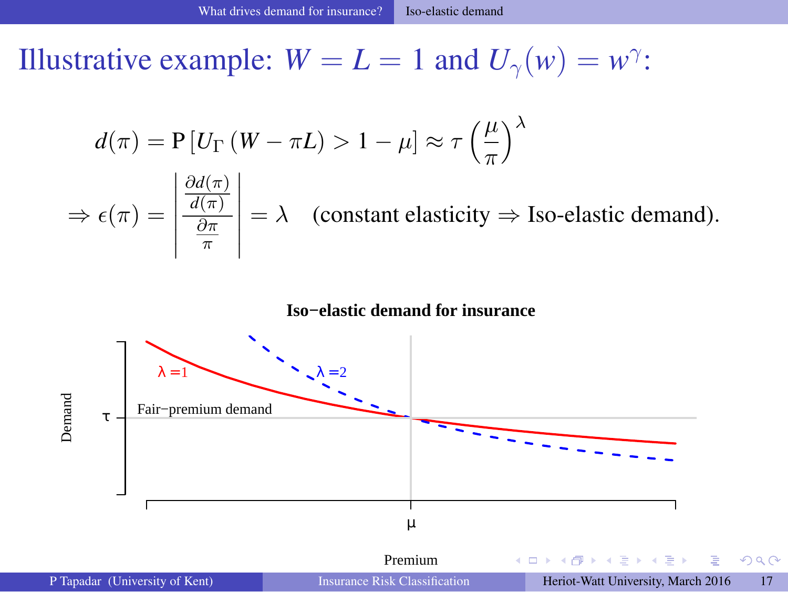<span id="page-17-0"></span>Illustrative example:  $W = L = 1$  and  $U_{\gamma}(w) = w^{\gamma}$ :

$$
d(\pi) = \mathbf{P}[U_{\Gamma} (W - \pi L) > 1 - \mu] \approx \tau \left(\frac{\mu}{\pi}\right)^{\lambda}
$$

$$
|\partial d(\pi)|
$$

$$
\Rightarrow \epsilon(\pi) = \left| \frac{\frac{\partial a(\pi)}{\partial \pi}}{\frac{\partial \pi}{\pi}} \right| = \lambda \quad \text{(constant elasticity} \Rightarrow \text{Iso-elastic demand)}.
$$

#### **Iso−elastic demand for insurance**



4 D F

 $QQ$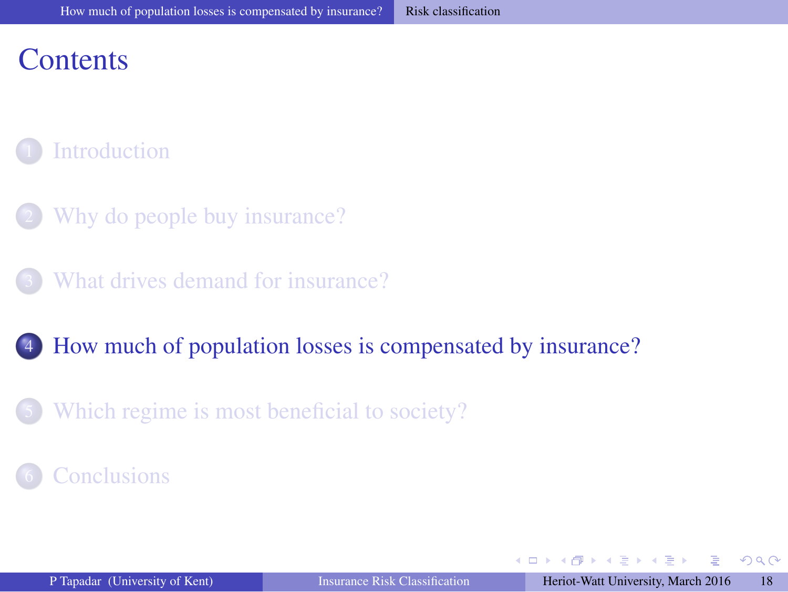# <span id="page-18-0"></span>**Contents**

# **[Introduction](#page-1-0)**

- [Why do people buy insurance?](#page-5-0)
- [What drives demand for insurance?](#page-11-0)

#### 4 [How much of population losses is compensated by insurance?](#page-17-0)

[Which regime is most beneficial to society?](#page-26-0)

#### **[Conclusions](#page-28-0)**

 $\Omega$ 

 $A \cap \overline{B} \rightarrow A \Rightarrow A \Rightarrow A \Rightarrow B$ 

4 0 8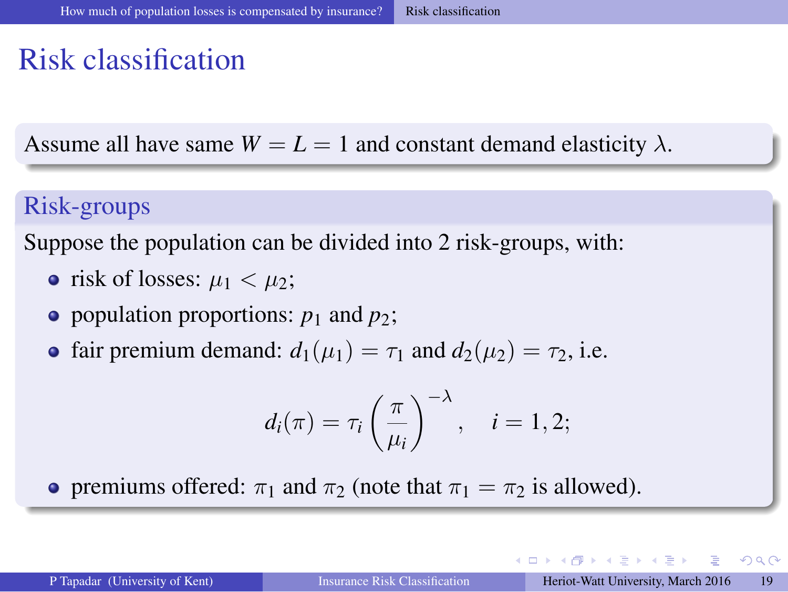# <span id="page-19-0"></span>Risk classification

Assume all have same  $W = L = 1$  and constant demand elasticity  $\lambda$ .

# Risk-groups

Suppose the population can be divided into 2 risk-groups, with:

- risk of losses:  $\mu_1 < \mu_2$ ;
- population proportions:  $p_1$  and  $p_2$ ;
- fair premium demand:  $d_1(\mu_1) = \tau_1$  and  $d_2(\mu_2) = \tau_2$ , i.e.

$$
d_i(\pi) = \tau_i \left(\frac{\pi}{\mu_i}\right)^{-\lambda}, \quad i = 1, 2;
$$

**•** premiums offered:  $\pi_1$  and  $\pi_2$  (note that  $\pi_1 = \pi_2$  is allowed).

 $\Omega$ 

 $\mathbf{A} \equiv \mathbf{A} + \mathbf{A} \mathbf{B} + \mathbf{A} \equiv \mathbf{A} + \mathbf{A} \equiv \mathbf{A}$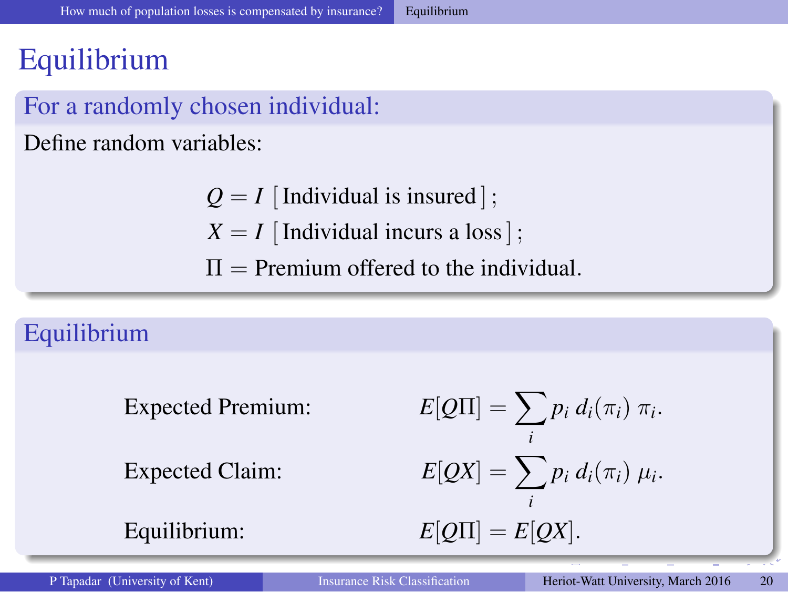# <span id="page-20-0"></span>Equilibrium

# For a randomly chosen individual:

Define random variables:

- $Q = I$  [Individual is insured];  $X = I$  [Individual incurs a loss];
- $\Pi$  = Premium offered to the individual.

# Equilibrium

Expected Premium:

Expected Claim:

 $Equilibrium:$ 

$$
E[Q\Pi] = \sum_{i} p_i d_i(\pi_i) \pi_i.
$$
  

$$
E[QX] = \sum_{i} p_i d_i(\pi_i) \mu_i.
$$
  

$$
E[Q\Pi] = E[QX].
$$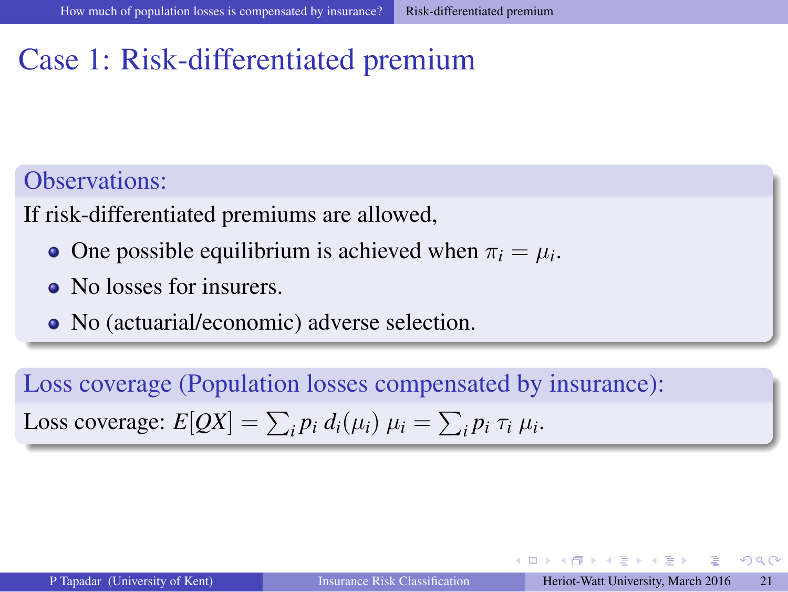# <span id="page-21-0"></span>Case 1: Risk-differentiated premium

# Observations:

If risk-differentiated premiums are allowed,

- One possible equilibrium is achieved when  $\pi_i = \mu_i$ .
- No losses for insurers.
- No (actuarial/economic) adverse selection.

Loss coverage (Population losses compensated by insurance): Loss coverage:  $E[QX] = \sum_i p_i d_i(\mu_i) \mu_i = \sum_i p_i \tau_i \mu_i$ .

 $209$ 

イロト イ押 トイヨ トイヨト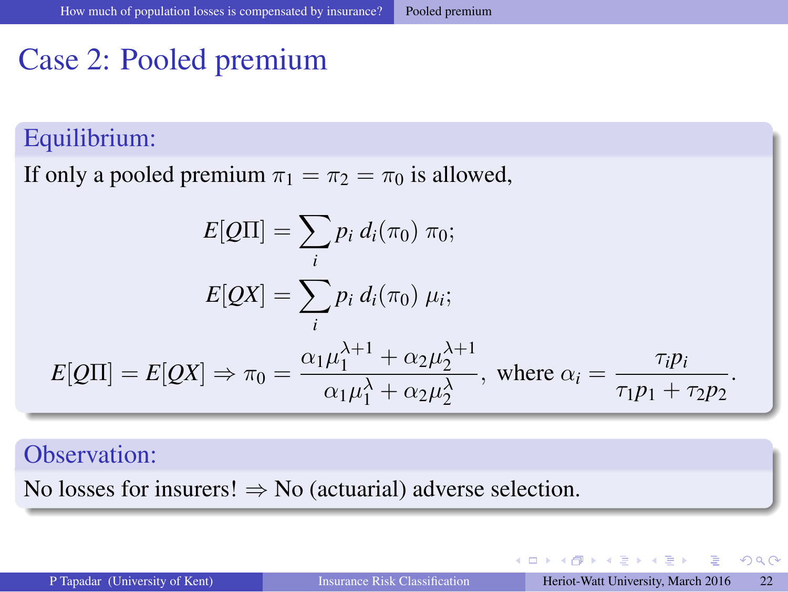# <span id="page-22-0"></span>Case 2: Pooled premium

## Equilibrium:

If only a pooled premium  $\pi_1 = \pi_2 = \pi_0$  is allowed,

$$
E[Q\Pi] = \sum_{i} p_i d_i(\pi_0) \pi_0;
$$
  
\n
$$
E[QX] = \sum_{i} p_i d_i(\pi_0) \mu_i;
$$
  
\n
$$
E[Q\Pi] = E[QX] \Rightarrow \pi_0 = \frac{\alpha_1 \mu_1^{\lambda+1} + \alpha_2 \mu_2^{\lambda+1}}{\alpha_1 \mu_1^{\lambda} + \alpha_2 \mu_2^{\lambda}}, \text{ where } \alpha_i = \frac{\tau_i p_i}{\tau_1 p_1 + \tau_2 p_2}.
$$

#### Observation:

No losses for insurers!  $\Rightarrow$  No (actuarial) adverse selection.

イロト イ押 トイヨ トイヨト

 $QQ$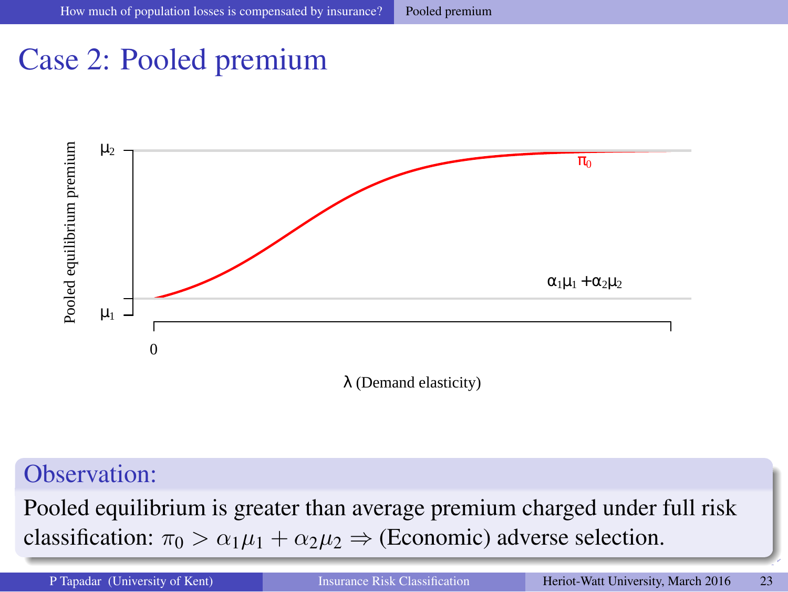# <span id="page-23-0"></span>Case 2: Pooled premium



#### Observation:

Pooled equilibrium is greater than average premium charged under full risk [c](#page-21-0)lassifica[ti](#page-23-0)[o](#page-24-0)[n](#page-16-0):  $\pi_0 > \alpha_1 \mu_1 + \alpha_2 \mu_2 \Rightarrow$  (Economic) a[dv](#page-21-0)[ers](#page-23-0)[e](#page-20-0) [s](#page-22-0)[el](#page-23-0)ection[.](#page-17-0)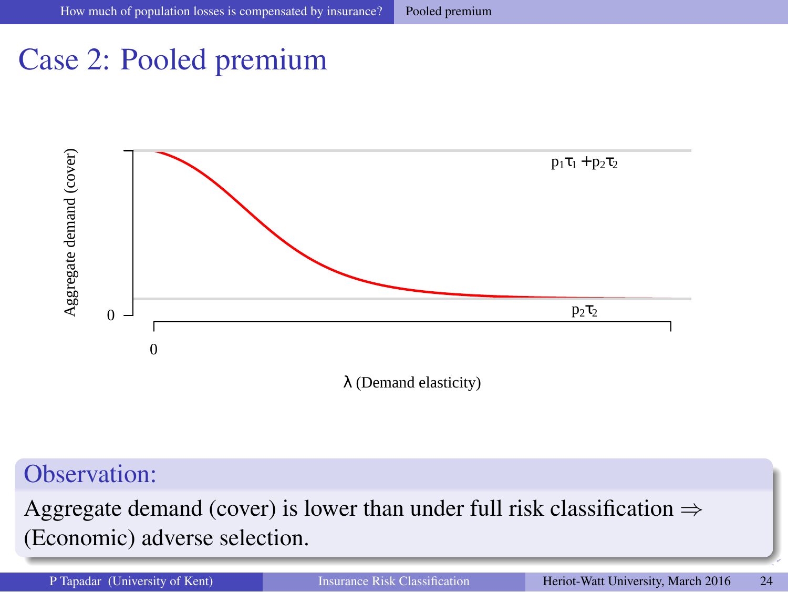# <span id="page-24-0"></span>Case 2: Pooled premium



# Observation:

Aggregate demand (cover) is lower than under full risk classification  $\Rightarrow$ (Economic) adverse selection.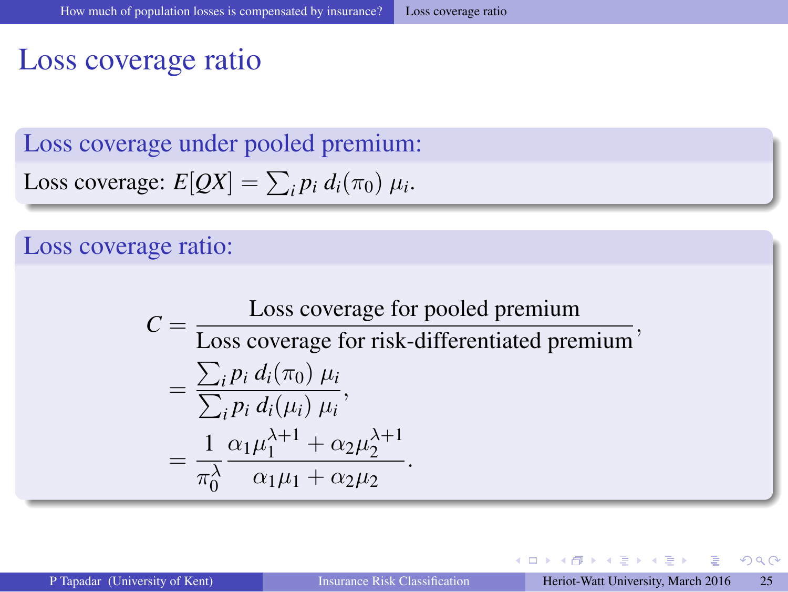# <span id="page-25-0"></span>Loss coverage ratio

Loss coverage under pooled premium:

Loss coverage: 
$$
E[QX] = \sum_i p_i d_i(\pi_0) \mu_i
$$
.

#### Loss coverage ratio:

$$
C = \frac{\text{Loss coverage for pooled premium}}{\text{Loss coverage for risk-differentiated premium}},
$$
  
= 
$$
\frac{\sum_{i} p_{i} d_{i}(\pi_{0}) \mu_{i}}{\sum_{i} p_{i} d_{i}(\mu_{i}) \mu_{i}},
$$
  
= 
$$
\frac{1}{\pi_{0}^{\lambda}} \frac{\alpha_{1} \mu_{1}^{\lambda+1} + \alpha_{2} \mu_{2}^{\lambda+1}}{\alpha_{1} \mu_{1} + \alpha_{2} \mu_{2}}.
$$

 $QQ$ 

∍

 $\mathcal{A} \oplus \mathcal{B} \rightarrow \mathcal{A} \oplus \mathcal{B} \rightarrow \mathcal{A} \oplus \mathcal{B}$ 

4 0 8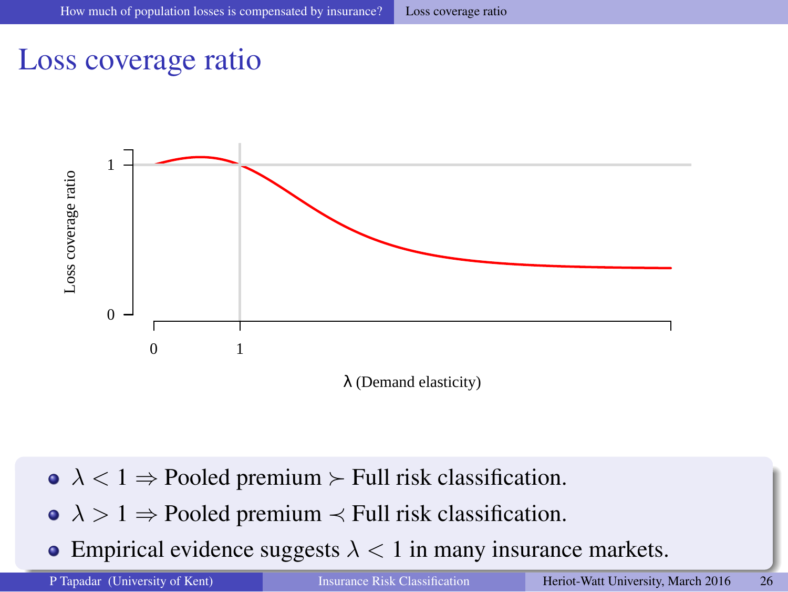# <span id="page-26-0"></span>Loss coverage ratio



- $\lambda < 1$   $\Rightarrow$  Pooled premium  $\succ$  Full risk classification.
- $\lambda > 1 \Rightarrow$  Pooled premium  $\prec$  Full risk classification.
- Empirical evide[n](#page-24-0)[ce](#page-25-0) sugg[e](#page-26-0)s[t](#page-16-0)s  $\lambda$  $\lambda$  $\lambda$  < 1 in many i[nsu](#page-24-0)[ra](#page-26-0)nce [m](#page-26-0)a[r](#page-24-0)[k](#page-25-0)et[s.](#page-17-0)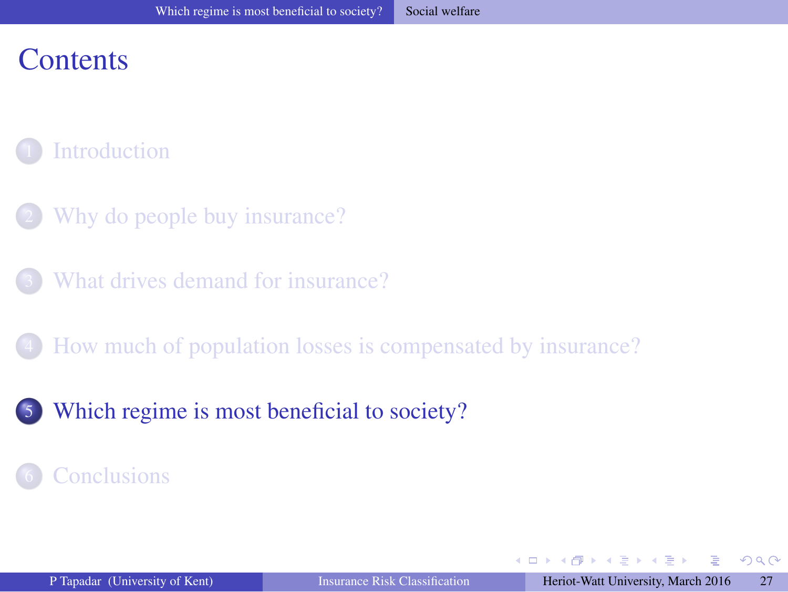# <span id="page-27-0"></span>**Contents**

# **[Introduction](#page-1-0)**

- [Why do people buy insurance?](#page-5-0)
- [What drives demand for insurance?](#page-11-0)
- 4 [How much of population losses is compensated by insurance?](#page-17-0)
- [Which regime is most beneficial to society?](#page-26-0)

#### **[Conclusions](#page-28-0)**

 $\Omega$ 

**A** > < B > < B >

4 D F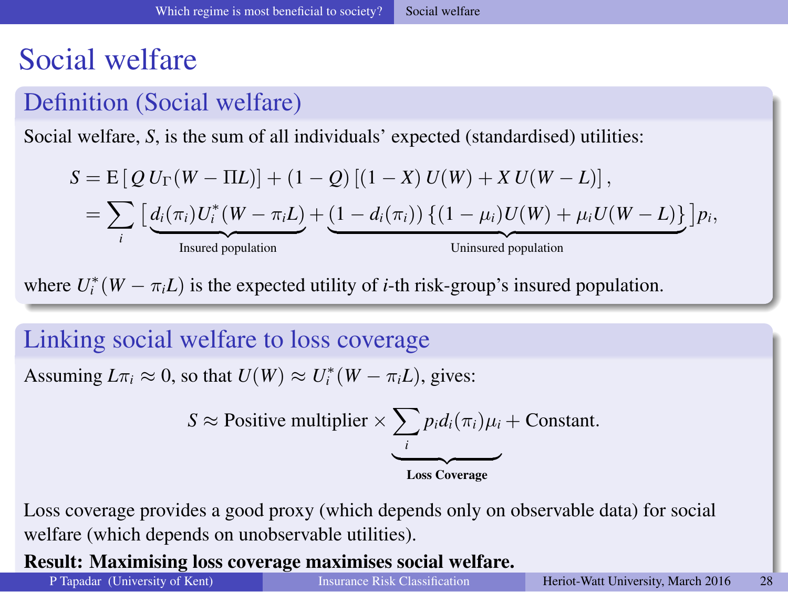# <span id="page-28-0"></span>Social welfare

# Definition (Social welfare)

Social welfare, *S*, is the sum of all individuals' expected (standardised) utilities:

$$
S = E [ Q U_{\Gamma} (W - \Pi L) ] + (1 - Q) [(1 - X) U(W) + X U(W - L) ],
$$
  
= 
$$
\sum_{i} [\underbrace{d_i(\pi_i) U_i^* (W - \pi_i L)}_{\text{Insured population}} + \underbrace{(1 - d_i(\pi_i)) \{ (1 - \mu_i) U(W) + \mu_i U(W - L) \}}_{\text{Uninsured population}} ] p_i,
$$

where  $U_i^*(W - \pi_i L)$  is the expected utility of *i*-th risk-group's insured population.

#### Linking social welfare to loss coverage

Assuming  $L\pi_i \approx 0$ , so that  $U(W) \approx U_i^*(W - \pi_i L)$ , gives:

$$
S \approx
$$
 Positive multiplier  $\times \underbrace{\sum_{i} p_i d_i(\pi_i) \mu_i}_{\text{Loss} \text{ coverage}}$ 

Loss coverage provides a good proxy (which depends only on observable data) for social welfare (which depends on unobservable utilities).

**Result: Maximising loss coverage maximises social welfar[e.](#page-26-0)**<br>P Tanadar (University of Kent)<br>Insurance Risk Classification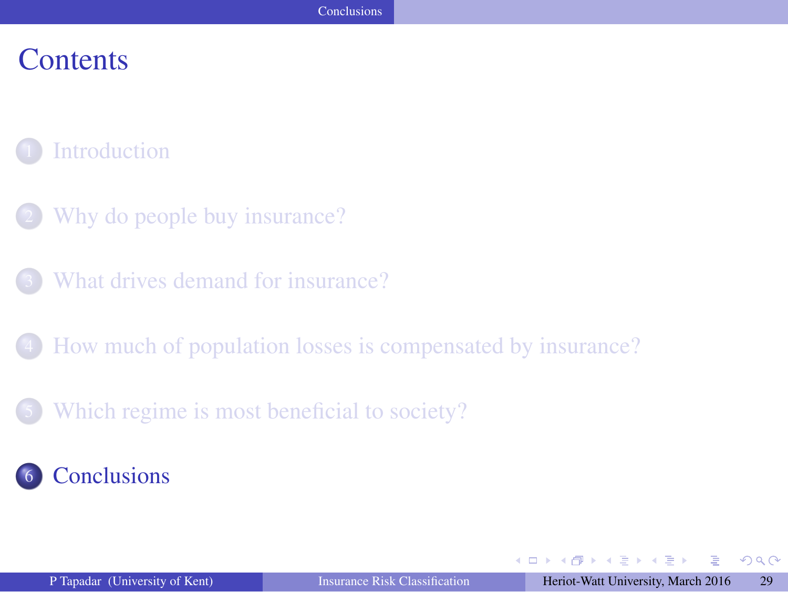# <span id="page-29-0"></span>**Contents**

# **[Introduction](#page-1-0)**

- [Why do people buy insurance?](#page-5-0)
- [What drives demand for insurance?](#page-11-0)
- 4 [How much of population losses is compensated by insurance?](#page-17-0)
- [Which regime is most beneficial to society?](#page-26-0)

# **[Conclusions](#page-28-0)**

 $\Omega$ 

押 トスミ トスミン

4. 0. 3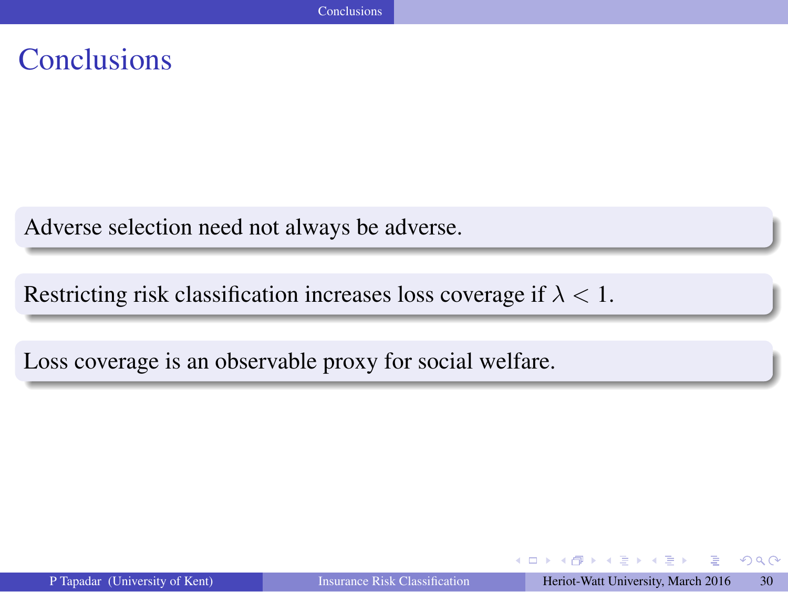# <span id="page-30-0"></span>**Conclusions**

Adverse selection need not always be adverse.

Restricting risk classification increases loss coverage if  $\lambda < 1$ .

Loss coverage is an observable proxy for social welfare.

押 トスミ トスミン

4. 0. 3

 $QQ$